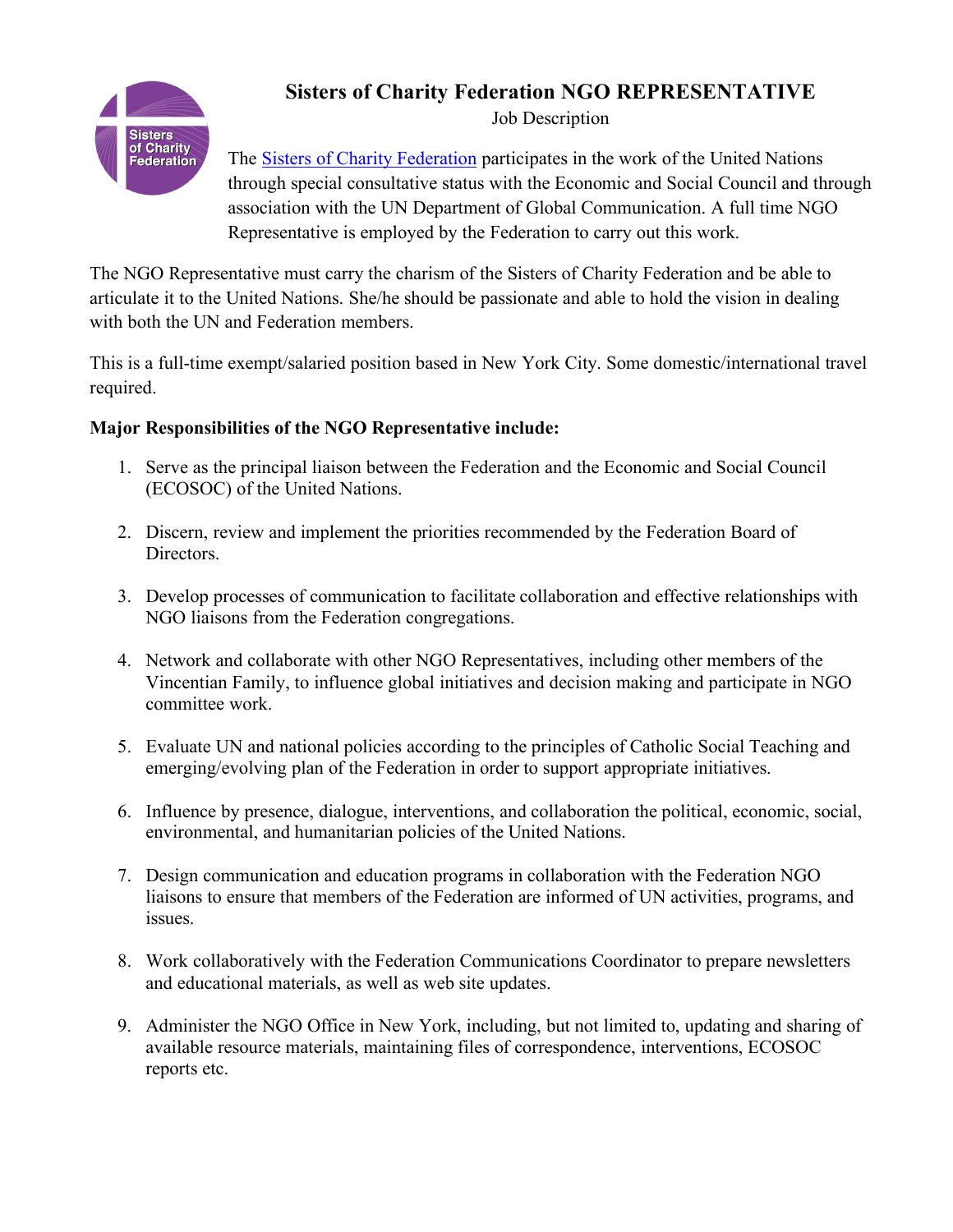

## **Sisters of Charity Federation NGO REPRESENTATIVE**

Job Description

The [Sisters of Charity Federation](https://sistersofcharityfederation.org/) participates in the work of the United Nations through special consultative status with the Economic and Social Council and through association with the UN Department of Global Communication. A full time NGO Representative is employed by the Federation to carry out this work.

The NGO Representative must carry the charism of the Sisters of Charity Federation and be able to articulate it to the United Nations. She/he should be passionate and able to hold the vision in dealing with both the UN and Federation members.

This is a full-time exempt/salaried position based in New York City. Some domestic/international travel required.

## **Major Responsibilities of the NGO Representative include:**

- 1. Serve as the principal liaison between the Federation and the Economic and Social Council (ECOSOC) of the United Nations.
- 2. Discern, review and implement the priorities recommended by the Federation Board of Directors.
- 3. Develop processes of communication to facilitate collaboration and effective relationships with NGO liaisons from the Federation congregations.
- 4. Network and collaborate with other NGO Representatives, including other members of the Vincentian Family, to influence global initiatives and decision making and participate in NGO committee work.
- 5. Evaluate UN and national policies according to the principles of Catholic Social Teaching and emerging/evolving plan of the Federation in order to support appropriate initiatives.
- 6. Influence by presence, dialogue, interventions, and collaboration the political, economic, social, environmental, and humanitarian policies of the United Nations.
- 7. Design communication and education programs in collaboration with the Federation NGO liaisons to ensure that members of the Federation are informed of UN activities, programs, and issues.
- 8. Work collaboratively with the Federation Communications Coordinator to prepare newsletters and educational materials, as well as web site updates.
- 9. Administer the NGO Office in New York, including, but not limited to, updating and sharing of available resource materials, maintaining files of correspondence, interventions, ECOSOC reports etc.